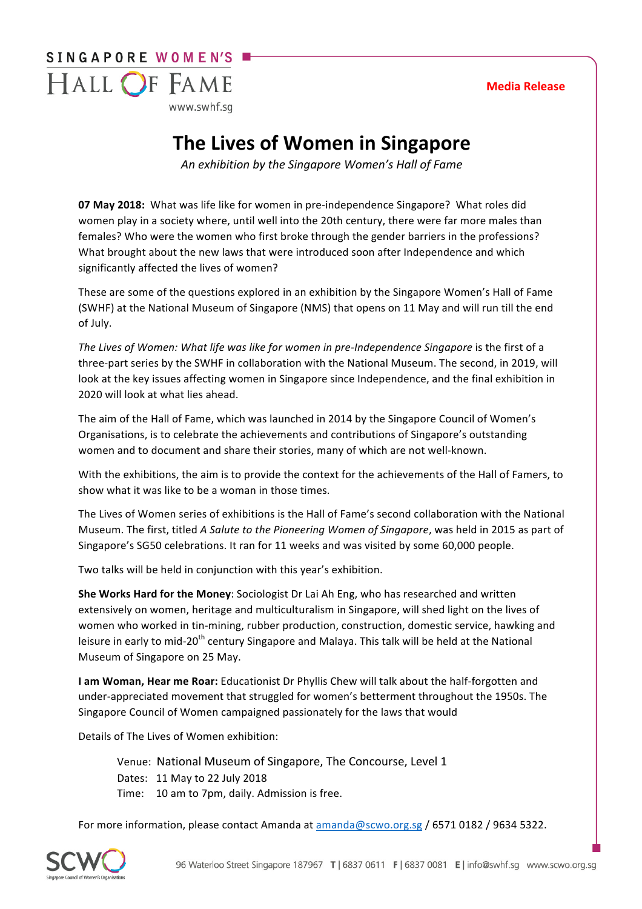# SINGAPORE WOMEN'S HALL OF FAME

www.swhf.sa

# **The Lives of Women in Singapore**

An exhibition by the Singapore Women's Hall of Fame

**07 May 2018:** What was life like for women in pre-independence Singapore? What roles did women play in a society where, until well into the 20th century, there were far more males than females? Who were the women who first broke through the gender barriers in the professions? What brought about the new laws that were introduced soon after Independence and which significantly affected the lives of women?

These are some of the questions explored in an exhibition by the Singapore Women's Hall of Fame (SWHF) at the National Museum of Singapore (NMS) that opens on 11 May and will run till the end of July.

The Lives of Women: What life was like for women in pre-Independence Singapore is the first of a three-part series by the SWHF in collaboration with the National Museum. The second, in 2019, will look at the key issues affecting women in Singapore since Independence, and the final exhibition in 2020 will look at what lies ahead.

The aim of the Hall of Fame, which was launched in 2014 by the Singapore Council of Women's Organisations, is to celebrate the achievements and contributions of Singapore's outstanding women and to document and share their stories, many of which are not well-known.

With the exhibitions, the aim is to provide the context for the achievements of the Hall of Famers, to show what it was like to be a woman in those times.

The Lives of Women series of exhibitions is the Hall of Fame's second collaboration with the National Museum. The first, titled *A Salute to the Pioneering Women of Singapore*, was held in 2015 as part of Singapore's SG50 celebrations. It ran for 11 weeks and was visited by some 60,000 people.

Two talks will be held in conjunction with this year's exhibition.

**She Works Hard for the Money**: Sociologist Dr Lai Ah Eng, who has researched and written extensively on women, heritage and multiculturalism in Singapore, will shed light on the lives of women who worked in tin-mining, rubber production, construction, domestic service, hawking and leisure in early to mid-20<sup>th</sup> century Singapore and Malaya. This talk will be held at the National Museum of Singapore on 25 May.

**I am Woman, Hear me Roar:** Educationist Dr Phyllis Chew will talk about the half-forgotten and under-appreciated movement that struggled for women's betterment throughout the 1950s. The Singapore Council of Women campaigned passionately for the laws that would

Details of The Lives of Women exhibition:

Venue: National Museum of Singapore, The Concourse, Level 1 Dates: 11 May to 22 July 2018 Time: 10 am to 7pm, daily. Admission is free.

For more information, please contact Amanda at amanda@scwo.org.sg / 6571 0182 / 9634 5322.